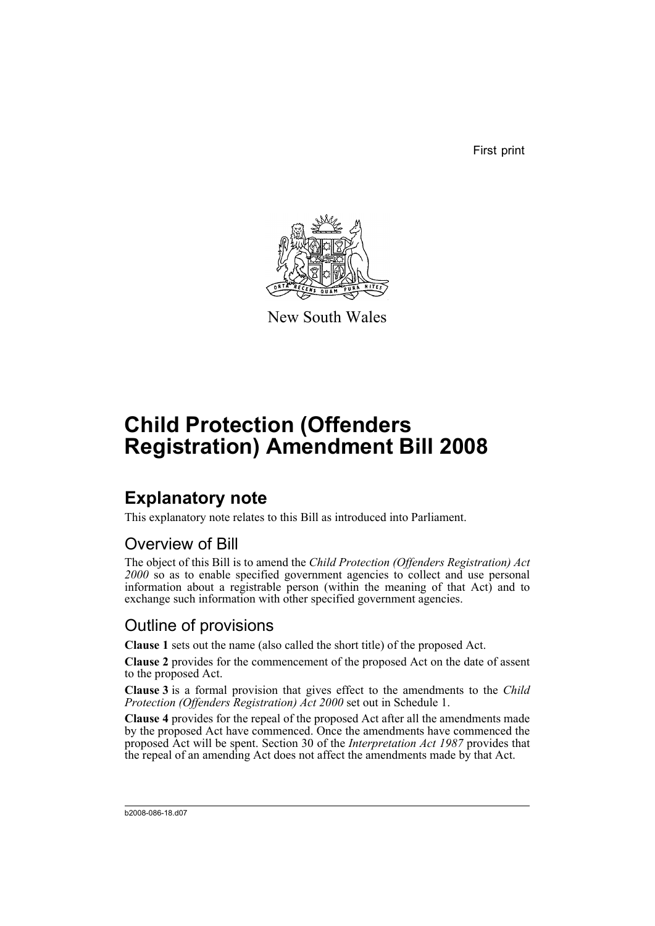First print



New South Wales

# **Child Protection (Offenders Registration) Amendment Bill 2008**

## **Explanatory note**

This explanatory note relates to this Bill as introduced into Parliament.

## Overview of Bill

The object of this Bill is to amend the *Child Protection (Offenders Registration) Act 2000* so as to enable specified government agencies to collect and use personal information about a registrable person (within the meaning of that Act) and to exchange such information with other specified government agencies.

## Outline of provisions

**Clause 1** sets out the name (also called the short title) of the proposed Act.

**Clause 2** provides for the commencement of the proposed Act on the date of assent to the proposed Act.

**Clause 3** is a formal provision that gives effect to the amendments to the *Child Protection (Offenders Registration) Act 2000* set out in Schedule 1.

**Clause 4** provides for the repeal of the proposed Act after all the amendments made by the proposed Act have commenced. Once the amendments have commenced the proposed Act will be spent. Section 30 of the *Interpretation Act 1987* provides that the repeal of an amending Act does not affect the amendments made by that Act.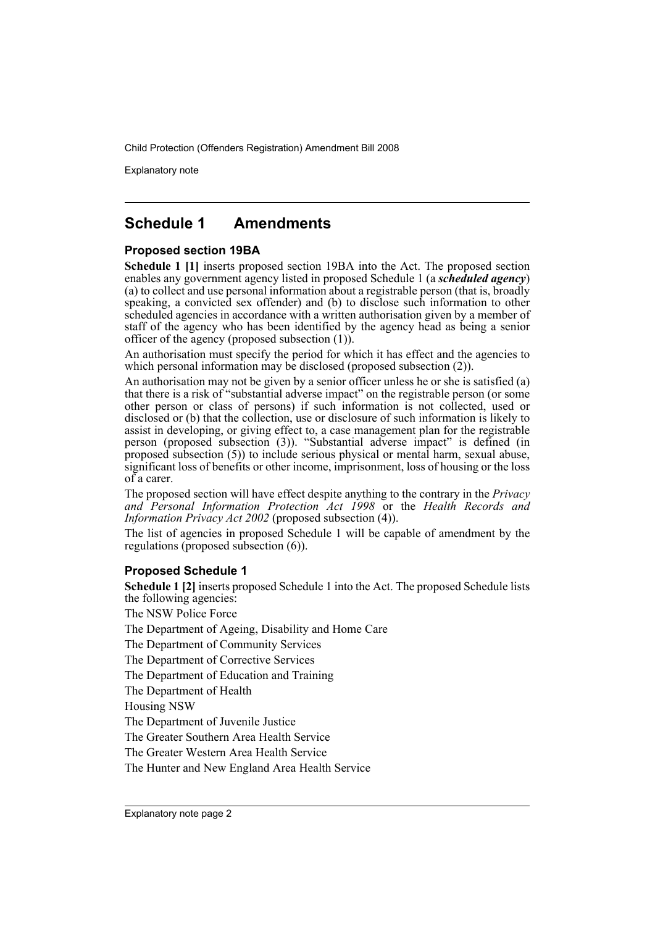Explanatory note

### **Schedule 1 Amendments**

#### **Proposed section 19BA**

**Schedule 1 [1]** inserts proposed section 19BA into the Act. The proposed section enables any government agency listed in proposed Schedule 1 (a *scheduled agency*) (a) to collect and use personal information about a registrable person (that is, broadly speaking, a convicted sex offender) and (b) to disclose such information to other scheduled agencies in accordance with a written authorisation given by a member of staff of the agency who has been identified by the agency head as being a senior officer of the agency (proposed subsection (1)).

An authorisation must specify the period for which it has effect and the agencies to which personal information may be disclosed (proposed subsection  $(2)$ ).

An authorisation may not be given by a senior officer unless he or she is satisfied (a) that there is a risk of "substantial adverse impact" on the registrable person (or some other person or class of persons) if such information is not collected, used or disclosed or (b) that the collection, use or disclosure of such information is likely to assist in developing, or giving effect to, a case management plan for the registrable person (proposed subsection (3)). "Substantial adverse impact" is defined (in proposed subsection (5)) to include serious physical or mental harm, sexual abuse, significant loss of benefits or other income, imprisonment, loss of housing or the loss of a carer.

The proposed section will have effect despite anything to the contrary in the *Privacy and Personal Information Protection Act 1998* or the *Health Records and Information Privacy Act 2002* (proposed subsection (4)).

The list of agencies in proposed Schedule 1 will be capable of amendment by the regulations (proposed subsection (6)).

#### **Proposed Schedule 1**

**Schedule 1 [2]** inserts proposed Schedule 1 into the Act. The proposed Schedule lists the following agencies: The NSW Police Force The Department of Ageing, Disability and Home Care The Department of Community Services The Department of Corrective Services The Department of Education and Training

The Department of Health

Housing NSW

The Department of Juvenile Justice

The Greater Southern Area Health Service

The Greater Western Area Health Service

The Hunter and New England Area Health Service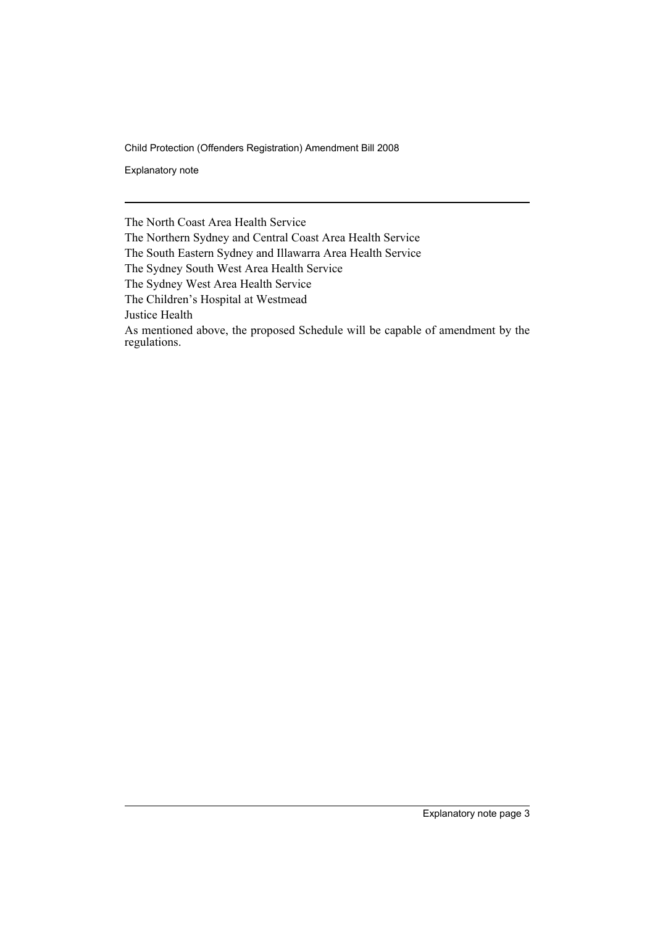Explanatory note

The North Coast Area Health Service

The Northern Sydney and Central Coast Area Health Service

The South Eastern Sydney and Illawarra Area Health Service

The Sydney South West Area Health Service

The Sydney West Area Health Service

The Children's Hospital at Westmead

Justice Health

As mentioned above, the proposed Schedule will be capable of amendment by the regulations.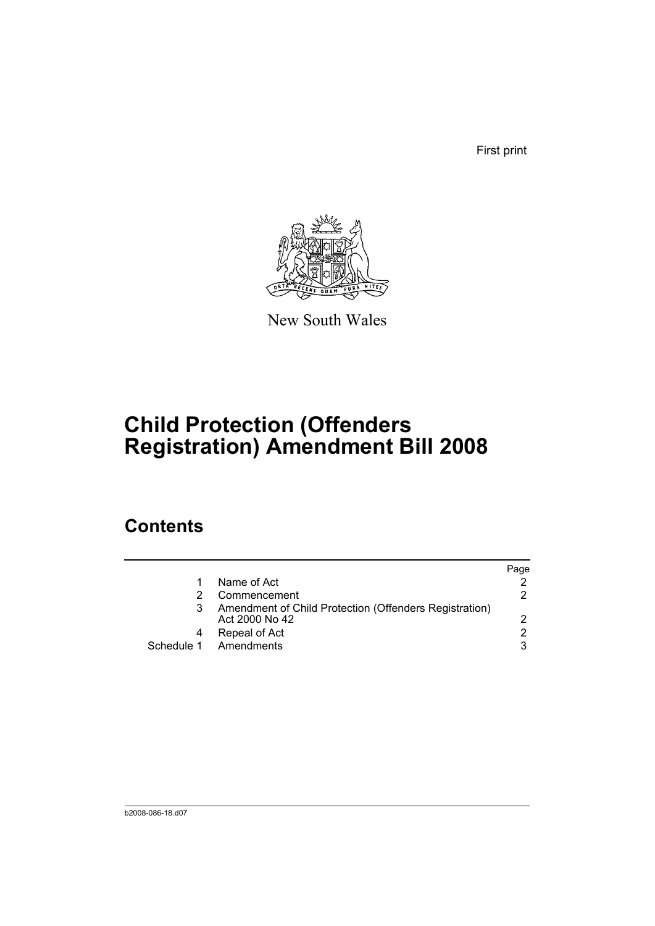First print



New South Wales

# **Child Protection (Offenders Registration) Amendment Bill 2008**

## **Contents**

|            |                                                                          | Page |
|------------|--------------------------------------------------------------------------|------|
|            | Name of Act                                                              |      |
|            | Commencement                                                             | 2.   |
|            | Amendment of Child Protection (Offenders Registration)<br>Act 2000 No 42 | 2    |
|            | Repeal of Act                                                            | 2    |
| Schedule 1 | Amendments                                                               | 3    |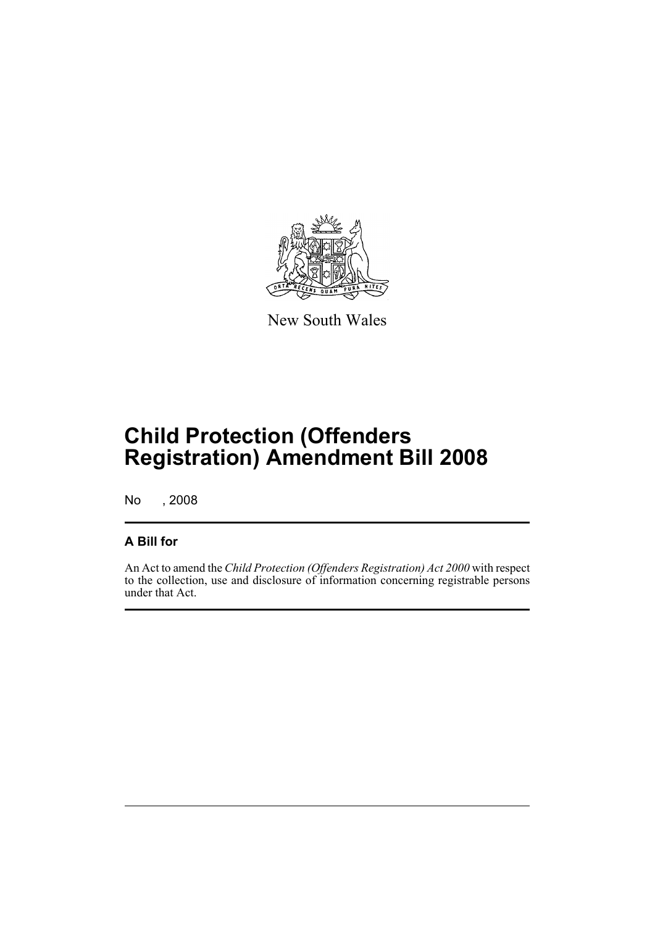

New South Wales

# **Child Protection (Offenders Registration) Amendment Bill 2008**

No , 2008

#### **A Bill for**

An Act to amend the *Child Protection (Offenders Registration) Act 2000* with respect to the collection, use and disclosure of information concerning registrable persons under that Act.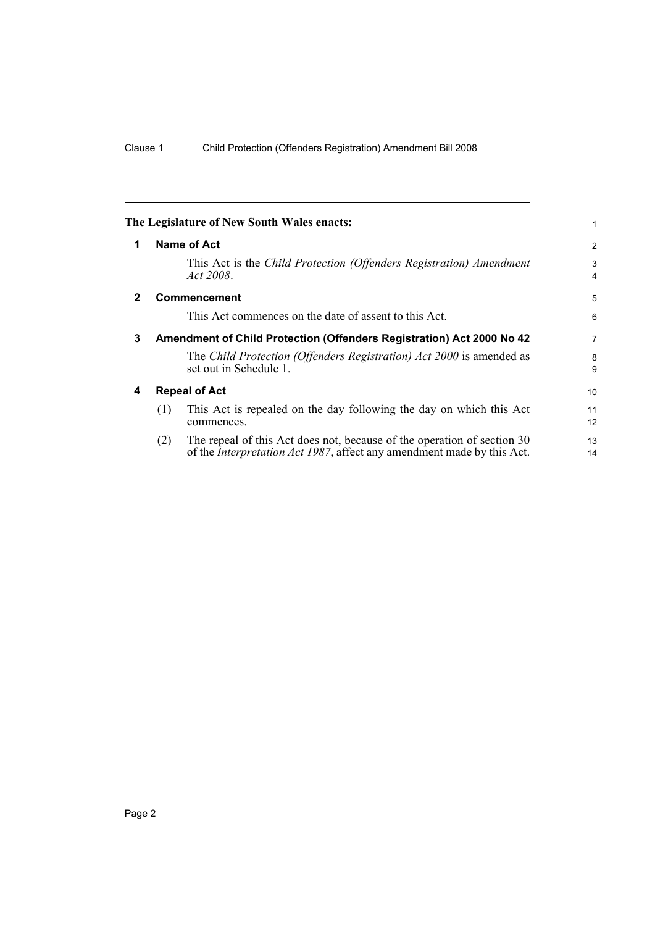<span id="page-7-3"></span><span id="page-7-2"></span><span id="page-7-1"></span><span id="page-7-0"></span>

| Name of Act            | $\overline{2}$                                                                                                                                                                                                                                                                                                                                                                                                                                                                                                                                                  |
|------------------------|-----------------------------------------------------------------------------------------------------------------------------------------------------------------------------------------------------------------------------------------------------------------------------------------------------------------------------------------------------------------------------------------------------------------------------------------------------------------------------------------------------------------------------------------------------------------|
| Act 2008.              | 3<br>4                                                                                                                                                                                                                                                                                                                                                                                                                                                                                                                                                          |
| <b>Commencement</b>    | 5                                                                                                                                                                                                                                                                                                                                                                                                                                                                                                                                                               |
|                        | 6                                                                                                                                                                                                                                                                                                                                                                                                                                                                                                                                                               |
|                        | 7                                                                                                                                                                                                                                                                                                                                                                                                                                                                                                                                                               |
| set out in Schedule 1. | 8<br>9                                                                                                                                                                                                                                                                                                                                                                                                                                                                                                                                                          |
| <b>Repeal of Act</b>   | 10                                                                                                                                                                                                                                                                                                                                                                                                                                                                                                                                                              |
| (1)<br>commences.      | 11<br>12                                                                                                                                                                                                                                                                                                                                                                                                                                                                                                                                                        |
| (2)                    | 13<br>14                                                                                                                                                                                                                                                                                                                                                                                                                                                                                                                                                        |
|                        | The Legislature of New South Wales enacts:<br>This Act is the Child Protection (Offenders Registration) Amendment<br>This Act commences on the date of assent to this Act.<br>Amendment of Child Protection (Offenders Registration) Act 2000 No 42<br>The Child Protection (Offenders Registration) Act 2000 is amended as<br>This Act is repealed on the day following the day on which this Act<br>The repeal of this Act does not, because of the operation of section 30<br>of the <i>Interpretation Act 1987</i> , affect any amendment made by this Act. |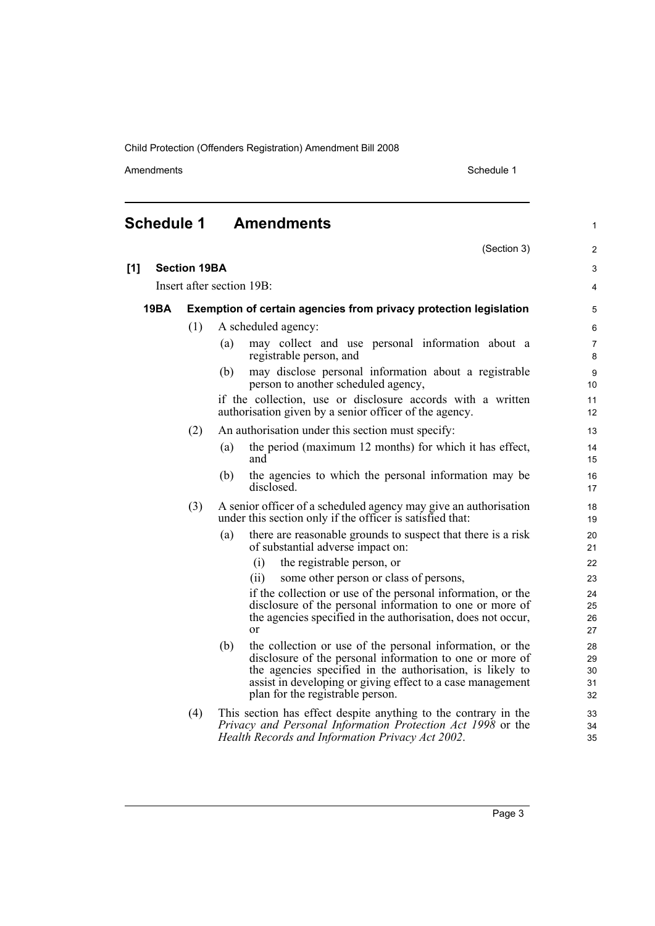Amendments Schedule 1

(Section 3)

1

2

## <span id="page-8-0"></span>**Schedule 1 Amendments**

| [1] | <b>Section 19BA</b> |                           |                                                                                                                                                                                                                                                                                             | 3                          |
|-----|---------------------|---------------------------|---------------------------------------------------------------------------------------------------------------------------------------------------------------------------------------------------------------------------------------------------------------------------------------------|----------------------------|
|     |                     | Insert after section 19B: |                                                                                                                                                                                                                                                                                             |                            |
|     | <b>19BA</b>         |                           | Exemption of certain agencies from privacy protection legislation                                                                                                                                                                                                                           | 5                          |
|     |                     | (1)                       | A scheduled agency:                                                                                                                                                                                                                                                                         | 6                          |
|     |                     |                           | may collect and use personal information about a<br>(a)<br>registrable person, and                                                                                                                                                                                                          | $\overline{7}$<br>8        |
|     |                     |                           | may disclose personal information about a registrable<br>(b)<br>person to another scheduled agency,                                                                                                                                                                                         | 9<br>10                    |
|     |                     |                           | if the collection, use or disclosure accords with a written<br>authorisation given by a senior officer of the agency.                                                                                                                                                                       | 11<br>12                   |
|     |                     | (2)                       | An authorisation under this section must specify:                                                                                                                                                                                                                                           | 13                         |
|     |                     |                           | the period (maximum 12 months) for which it has effect,<br>(a)<br>and                                                                                                                                                                                                                       | 14<br>15                   |
|     |                     |                           | the agencies to which the personal information may be<br>(b)<br>disclosed.                                                                                                                                                                                                                  | 16<br>17                   |
|     |                     | (3)                       | A senior officer of a scheduled agency may give an authorisation<br>under this section only if the officer is satisfied that:                                                                                                                                                               | 18<br>19                   |
|     |                     |                           | there are reasonable grounds to suspect that there is a risk<br>(a)<br>of substantial adverse impact on:                                                                                                                                                                                    | 20<br>21                   |
|     |                     |                           | (i)<br>the registrable person, or                                                                                                                                                                                                                                                           | 22                         |
|     |                     |                           | some other person or class of persons,<br>(ii)                                                                                                                                                                                                                                              | 23                         |
|     |                     |                           | if the collection or use of the personal information, or the<br>disclosure of the personal information to one or more of<br>the agencies specified in the authorisation, does not occur,<br><sub>or</sub>                                                                                   | 24<br>25<br>26<br>27       |
|     |                     |                           | (b)<br>the collection or use of the personal information, or the<br>disclosure of the personal information to one or more of<br>the agencies specified in the authorisation, is likely to<br>assist in developing or giving effect to a case management<br>plan for the registrable person. | 28<br>29<br>30<br>31<br>32 |
|     |                     | (4)                       | This section has effect despite anything to the contrary in the<br>Privacy and Personal Information Protection Act 1998 or the<br>Health Records and Information Privacy Act 2002.                                                                                                          | 33<br>34<br>35             |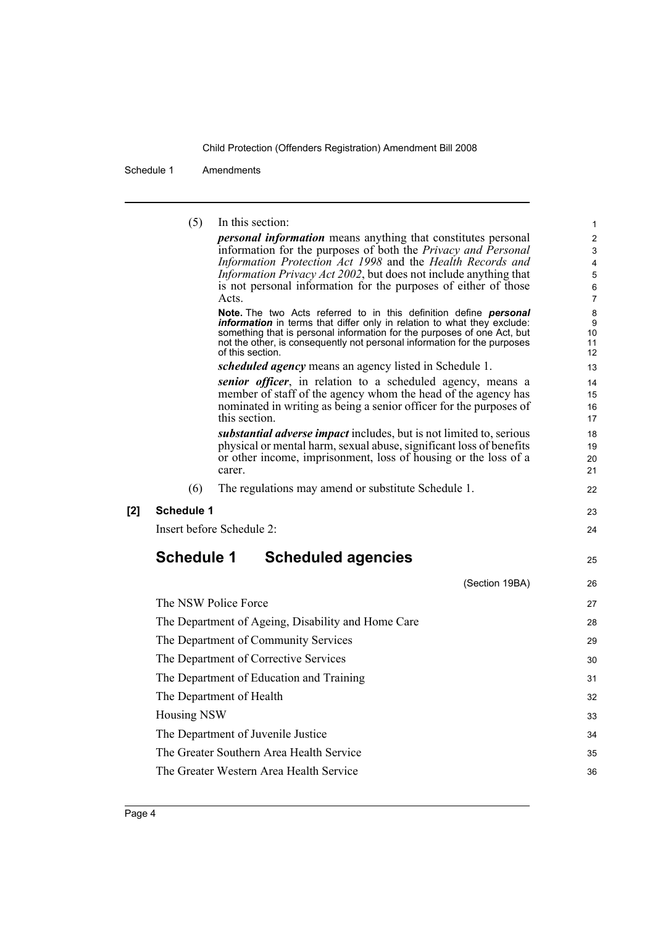Schedule 1 Amendments

(5) In this section:

*personal information* means anything that constitutes personal information for the purposes of both the *Privacy and Personal Information Protection Act 1998* and the *Health Records and Information Privacy Act 2002*, but does not include anything that is not personal information for the purposes of either of those Acts. **Note.** The two Acts referred to in this definition define *personal information* in terms that differ only in relation to what they exclude: something that is personal information for the purposes of one Act, but not the other, is consequently not personal information for the purposes of this section. *scheduled agency* means an agency listed in Schedule 1. *senior officer*, in relation to a scheduled agency, means a member of staff of the agency whom the head of the agency has nominated in writing as being a senior officer for the purposes of this section. *substantial adverse impact* includes, but is not limited to, serious physical or mental harm, sexual abuse, significant loss of benefits or other income, imprisonment, loss of housing or the loss of a carer. (6) The regulations may amend or substitute Schedule 1. **[2] Schedule 1** Insert before Schedule 2: **Schedule 1 Scheduled agencies** (Section 19BA) The NSW Police Force The Department of Ageing, Disability and Home Care The Department of Community Services The Department of Corrective Services The Department of Education and Training The Department of Health Housing NSW The Department of Juvenile Justice The Greater Southern Area Health Service The Greater Western Area Health Service 1  $\overline{2}$ 3 4 5 6 7 8 9 10 11 12 13 14 15 16 17 18 19 20 21 22 23 24 25 26 27 28 29 30 31 32 33 34 35 36